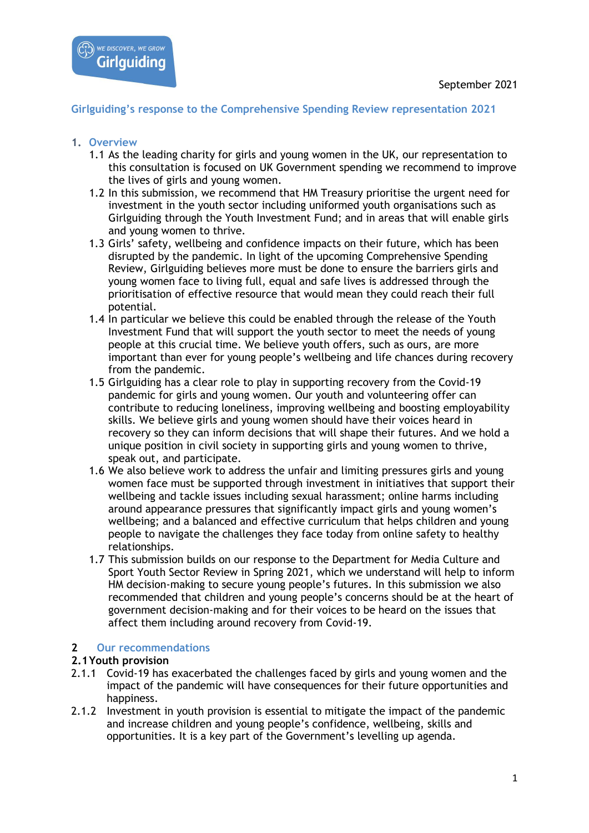

#### **Girlguiding's response to the Comprehensive Spending Review representation 2021**

## **1. Overview**

- 1.1 As the leading charity for girls and young women in the UK, our representation to this consultation is focused on UK Government spending we recommend to improve the lives of girls and young women.
- 1.2 In this submission, we recommend that HM Treasury prioritise the urgent need for investment in the youth sector including uniformed youth organisations such as Girlguiding through the Youth Investment Fund; and in areas that will enable girls and young women to thrive.
- 1.3 Girls' safety, wellbeing and confidence impacts on their future, which has been disrupted by the pandemic. In light of the upcoming Comprehensive Spending Review, Girlguiding believes more must be done to ensure the barriers girls and young women face to living full, equal and safe lives is addressed through the prioritisation of effective resource that would mean they could reach their full potential.
- 1.4 In particular we believe this could be enabled through the release of the Youth Investment Fund that will support the youth sector to meet the needs of young people at this crucial time. We believe youth offers, such as ours, are more important than ever for young people's wellbeing and life chances during recovery from the pandemic.
- 1.5 Girlguiding has a clear role to play in supporting recovery from the Covid-19 pandemic for girls and young women. Our youth and volunteering offer can contribute to reducing loneliness, improving wellbeing and boosting employability skills. We believe girls and young women should have their voices heard in recovery so they can inform decisions that will shape their futures. And we hold a unique position in civil society in supporting girls and young women to thrive, speak out, and participate.
- 1.6 We also believe work to address the unfair and limiting pressures girls and young women face must be supported through investment in initiatives that support their wellbeing and tackle issues including sexual harassment; online harms including around appearance pressures that significantly impact girls and young women's wellbeing; and a balanced and effective curriculum that helps children and young people to navigate the challenges they face today from online safety to healthy relationships.
- 1.7 This submission builds on our response to the Department for Media Culture and Sport Youth Sector Review in Spring 2021, which we understand will help to inform HM decision-making to secure young people's futures. In this submission we also recommended that children and young people's concerns should be at the heart of government decision-making and for their voices to be heard on the issues that affect them including around recovery from Covid-19.

### **2 Our recommendations**

### **2.1Youth provision**

- 2.1.1 Covid-19 has exacerbated the challenges faced by girls and young women and the impact of the pandemic will have consequences for their future opportunities and happiness.
- 2.1.2 Investment in youth provision is essential to mitigate the impact of the pandemic and increase children and young people's confidence, wellbeing, skills and opportunities. It is a key part of the Government's levelling up agenda.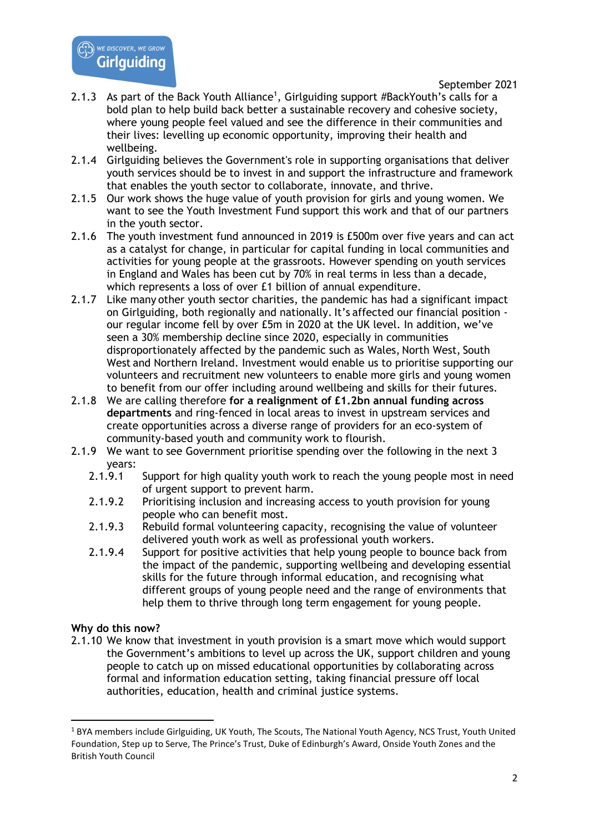

- 2.1.3 As part of the Back Youth Alliance<sup>1</sup>, Girlguiding support #BackYouth's calls for a bold plan to help build back better a sustainable recovery and cohesive society, where young people feel valued and see the difference in their communities and their lives: levelling up economic opportunity, improving their health and wellbeing.
- 2.1.4 Girlguiding believes the Government's role in supporting organisations that deliver youth services should be to invest in and support the infrastructure and framework that enables the youth sector to collaborate, innovate, and thrive.
- 2.1.5 Our work shows the huge value of youth provision for girls and young women. We want to see the Youth Investment Fund support this work and that of our partners in the youth sector.
- 2.1.6 The youth investment fund announced in 2019 is £500m over five years and can act as a catalyst for change, in particular for capital funding in local communities and activities for young people at the grassroots. However spending on youth services in England and Wales has been cut by 70% in real terms in less than a decade, which represents a loss of over £1 billion of annual expenditure.
- 2.1.7 Like many other youth sector charities, the pandemic has had a significant impact on Girlguiding, both regionally and nationally. It's affected our financial position our regular income fell by over £5m in 2020 at the UK level. In addition, we've seen a 30% membership decline since 2020, especially in communities disproportionately affected by the pandemic such as Wales, North West, South West and Northern Ireland. Investment would enable us to prioritise supporting our volunteers and recruitment new volunteers to enable more girls and young women to benefit from our offer including around wellbeing and skills for their futures.
- 2.1.8 We are calling therefore **for a realignment of £1.2bn annual funding across departments** and ring-fenced in local areas to invest in upstream services and create opportunities across a diverse range of providers for an eco-system of community-based youth and community work to flourish.
- 2.1.9 We want to see Government prioritise spending over the following in the next 3 years:<br>2.1.9.1
	- Support for high quality youth work to reach the young people most in need of urgent support to prevent harm.
	- 2.1.9.2 Prioritising inclusion and increasing access to youth provision for young people who can benefit most.
	- 2.1.9.3 Rebuild formal volunteering capacity, recognising the value of volunteer delivered youth work as well as professional youth workers.
	- 2.1.9.4 Support for positive activities that help young people to bounce back from the impact of the pandemic, supporting wellbeing and developing essential skills for the future through informal education, and recognising what different groups of young people need and the range of environments that help them to thrive through long term engagement for young people.

# **Why do this now?**

2.1.10 We know that investment in youth provision is a smart move which would support the Government's ambitions to level up across the UK, support children and young people to catch up on missed educational opportunities by collaborating across formal and information education setting, taking financial pressure off local authorities, education, health and criminal justice systems.

<sup>1</sup> BYA members include Girlguiding, UK Youth, The Scouts, The National Youth Agency, NCS Trust, Youth United Foundation, Step up to Serve, The Prince's Trust, Duke of Edinburgh's Award, Onside Youth Zones and the British Youth Council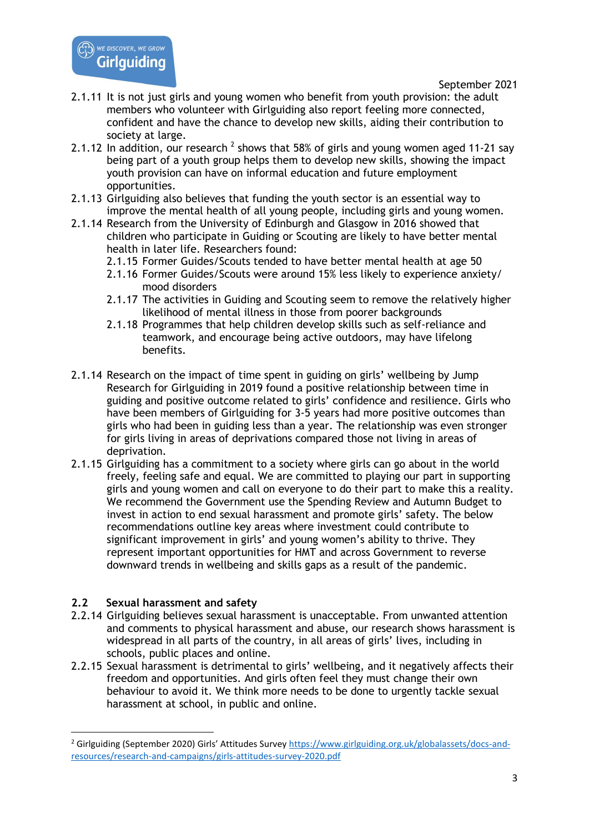

- 2.1.11 It is not just girls and young women who benefit from youth provision: the adult members who volunteer with Girlguiding also report feeling more connected, confident and have the chance to develop new skills, aiding their contribution to society at large.
- 2.1.12 In addition, our research  $^2$  shows that 58% of girls and young women aged 11-21 say being part of a youth group helps them to develop new skills, showing the impact youth provision can have on informal education and future employment opportunities.
- 2.1.13 Girlguiding also believes that funding the youth sector is an essential way to improve the mental health of all young people, including girls and young women.
- 2.1.14 Research from the University of Edinburgh and Glasgow in 2016 showed that children who participate in Guiding or Scouting are likely to have better mental health in later life. Researchers found:
	- 2.1.15 Former Guides/Scouts tended to have better mental health at age 50
	- 2.1.16 Former Guides/Scouts were around 15% less likely to experience anxiety/ mood disorders
	- 2.1.17 The activities in Guiding and Scouting seem to remove the relatively higher likelihood of mental illness in those from poorer backgrounds
	- 2.1.18 Programmes that help children develop skills such as self-reliance and teamwork, and encourage being active outdoors, may have lifelong benefits.
- 2.1.14 Research on the impact of time spent in guiding on girls' wellbeing by Jump Research for Girlguiding in 2019 found a positive relationship between time in guiding and positive outcome related to girls' confidence and resilience. Girls who have been members of Girlguiding for 3-5 years had more positive outcomes than girls who had been in guiding less than a year. The relationship was even stronger for girls living in areas of deprivations compared those not living in areas of deprivation.
- 2.1.15 Girlguiding has a commitment to a society where girls can go about in the world freely, feeling safe and equal. We are committed to playing our part in supporting girls and young women and call on everyone to do their part to make this a reality. We recommend the Government use the Spending Review and Autumn Budget to invest in action to end sexual harassment and promote girls' safety. The below recommendations outline key areas where investment could contribute to significant improvement in girls' and young women's ability to thrive. They represent important opportunities for HMT and across Government to reverse downward trends in wellbeing and skills gaps as a result of the pandemic.

### **2.2 Sexual harassment and safety**

- 2.2.14 Girlguiding believes sexual harassment is unacceptable. From unwanted attention and comments to physical harassment and abuse, our research shows harassment is widespread in all parts of the country, in all areas of girls' lives, including in schools, public places and online.
- 2.2.15 Sexual harassment is detrimental to girls' wellbeing, and it negatively affects their freedom and opportunities. And girls often feel they must change their own behaviour to avoid it. We think more needs to be done to urgently tackle sexual harassment at school, in public and online.

<sup>2</sup> Girlguiding (September 2020) Girls' Attitudes Survey [https://www.girlguiding.org.uk/globalassets/docs-and](https://www.girlguiding.org.uk/globalassets/docs-and-resources/research-and-campaigns/girls-attitudes-survey-2020.pdf)[resources/research-and-campaigns/girls-attitudes-survey-2020.pdf](https://www.girlguiding.org.uk/globalassets/docs-and-resources/research-and-campaigns/girls-attitudes-survey-2020.pdf)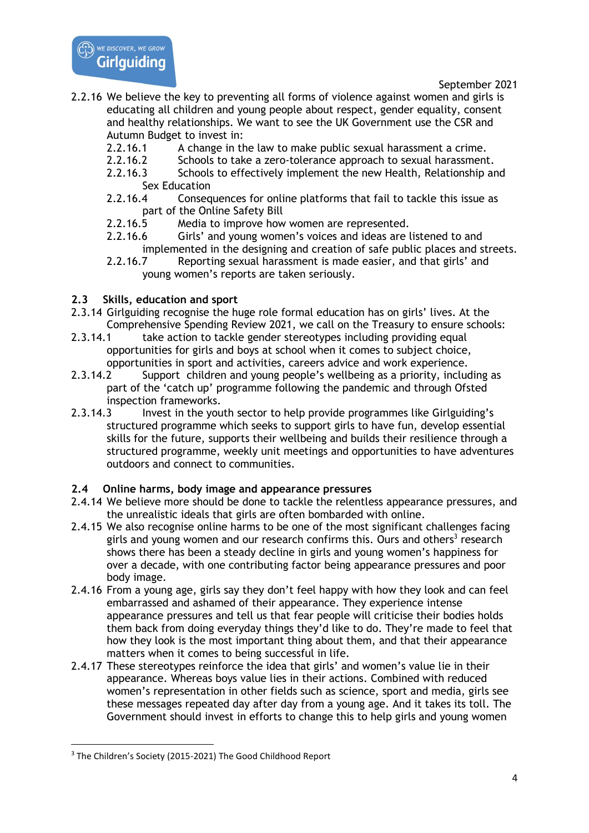

- 2.2.16 We believe the key to preventing all forms of violence against women and girls is educating all children and young people about respect, gender equality, consent and healthy relationships. We want to see the UK Government use the CSR and Autumn Budget to invest in:
	- 2.2.16.1 A change in the law to make public sexual harassment a crime.
	- 2.2.16.2 Schools to take a zero-tolerance approach to sexual harassment.
	- 2.2.16.3 Schools to effectively implement the new Health, Relationship and Sex Education
	- 2.2.16.4 Consequences for online platforms that fail to tackle this issue as part of the Online Safety Bill
	- 2.2.16.5 Media to improve how women are represented.
	- 2.2.16.6 Girls' and young women's voices and ideas are listened to and implemented in the designing and creation of safe public places and streets.
	- 2.2.16.7 Reporting sexual harassment is made easier, and that girls' and young women's reports are taken seriously.

### **2.3 Skills, education and sport**

- 2.3.14 Girlguiding recognise the huge role formal education has on girls' lives. At the Comprehensive Spending Review 2021, we call on the Treasury to ensure schools:
- 2.3.14.1 take action to tackle gender stereotypes including providing equal opportunities for girls and boys at school when it comes to subject choice, opportunities in sport and activities, careers advice and work experience.
- 2.3.14.2 Support children and young people's wellbeing as a priority, including as part of the 'catch up' programme following the pandemic and through Ofsted inspection frameworks.
- 2.3.14.3 Invest in the youth sector to help provide programmes like Girlguiding's structured programme which seeks to support girls to have fun, develop essential skills for the future, supports their wellbeing and builds their resilience through a structured programme, weekly unit meetings and opportunities to have adventures outdoors and connect to communities.

# **2.4 Online harms, body image and appearance pressures**

- 2.4.14 We believe more should be done to tackle the relentless appearance pressures, and the unrealistic ideals that girls are often bombarded with online.
- 2.4.15 We also recognise online harms to be one of the most significant challenges facing girls and young women and our research confirms this. Ours and others<sup>3</sup> research shows there has been a steady decline in girls and young women's happiness for over a decade, with one contributing factor being appearance pressures and poor body image.
- 2.4.16 From a young age, girls say they don't feel happy with how they look and can feel embarrassed and ashamed of their appearance. They experience intense appearance pressures and tell us that fear people will criticise their bodies holds them back from doing everyday things they'd like to do. They're made to feel that how they look is the most important thing about them, and that their appearance matters when it comes to being successful in life.
- 2.4.17 These stereotypes reinforce the idea that girls' and women's value lie in their appearance. Whereas boys value lies in their actions. Combined with reduced women's representation in other fields such as science, sport and media, girls see these messages repeated day after day from a young age. And it takes its toll. The Government should invest in efforts to change this to help girls and young women

<sup>&</sup>lt;sup>3</sup> The Children's Society (2015-2021) The Good Childhood Report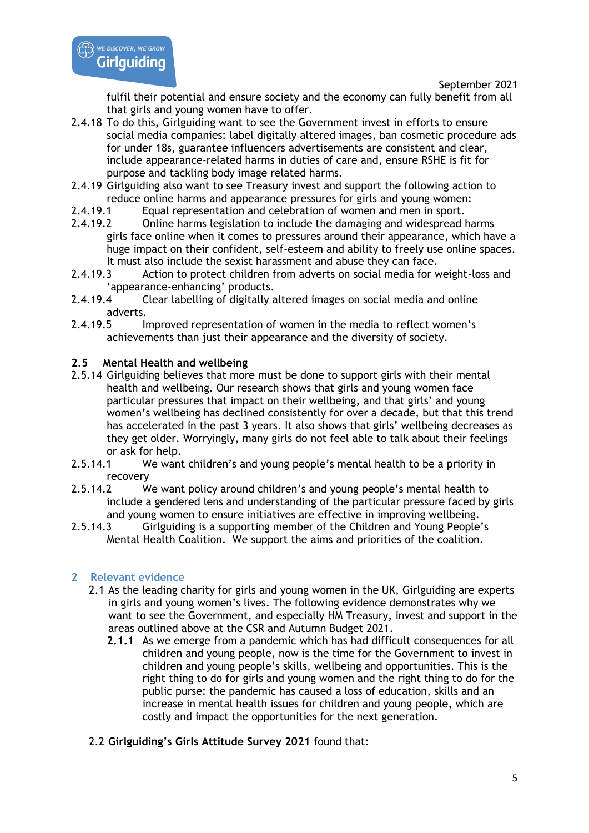

fulfil their potential and ensure society and the economy can fully benefit from all that girls and young women have to offer.

- 2.4.18 To do this, Girlguiding want to see the Government invest in efforts to ensure social media companies: label digitally altered images, ban cosmetic procedure ads for under 18s, guarantee influencers advertisements are consistent and clear, include appearance-related harms in duties of care and, ensure RSHE is fit for purpose and tackling body image related harms.
- 2.4.19 Girlguiding also want to see Treasury invest and support the following action to reduce online harms and appearance pressures for girls and young women:
- 2.4.19.1 Equal representation and celebration of women and men in sport.
- 2.4.19.2 Online harms legislation to include the damaging and widespread harms girls face online when it comes to pressures around their appearance, which have a huge impact on their confident, self-esteem and ability to freely use online spaces. It must also include the sexist harassment and abuse they can face.
- 2.4.19.3 Action to protect children from adverts on social media for weight-loss and 'appearance-enhancing' products.
- 2.4.19.4 Clear labelling of digitally altered images on social media and online adverts.
- 2.4.19.5 Improved representation of women in the media to reflect women's achievements than just their appearance and the diversity of society.

## **2.5 Mental Health and wellbeing**

- 2.5.14 Girlguiding believes that more must be done to support girls with their mental health and wellbeing. Our research shows that girls and young women face particular pressures that impact on their wellbeing, and that girls' and young women's wellbeing has declined consistently for over a decade, but that this trend has accelerated in the past 3 years. It also shows that girls' wellbeing decreases as they get older. Worryingly, many girls do not feel able to talk about their feelings or ask for help.<br>2.5.14.1 We want
- We want children's and young people's mental health to be a priority in recovery
- 2.5.14.2 We want policy around children's and young people's mental health to include a gendered lens and understanding of the particular pressure faced by girls and young women to ensure initiatives are effective in improving wellbeing.
- 2.5.14.3 Girlguiding is a supporting member of the Children and Young People's Mental Health Coalition. We support the aims and priorities of the coalition.

### **2 Relevant evidence**

- 2.1 As the leading charity for girls and young women in the UK, Girlguiding are experts in girls and young women's lives. The following evidence demonstrates why we want to see the Government, and especially HM Treasury, invest and support in the areas outlined above at the CSR and Autumn Budget 2021.
	- **2.1.1** As we emerge from a pandemic which has had difficult consequences for all children and young people, now is the time for the Government to invest in children and young people's skills, wellbeing and opportunities. This is the right thing to do for girls and young women and the right thing to do for the public purse: the pandemic has caused a loss of education, skills and an increase in mental health issues for children and young people, which are costly and impact the opportunities for the next generation.
- 2.2 **Girlguiding's Girls Attitude Survey 2021** found that: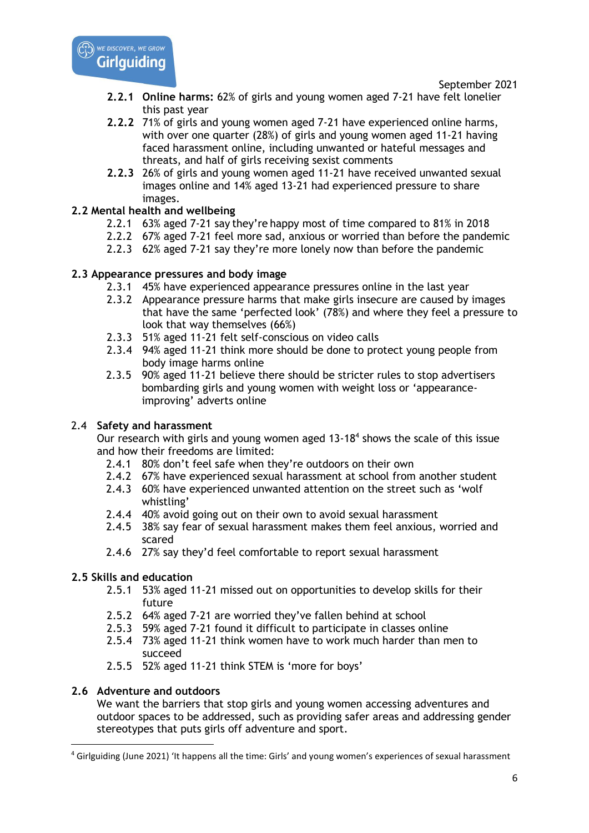

- **2.2.1 Online harms:** 62% of girls and young women aged 7-21 have felt lonelier this past year
- **2.2.2** 71% of girls and young women aged 7-21 have experienced online harms, with over one quarter (28%) of girls and young women aged 11-21 having faced harassment online, including unwanted or hateful messages and threats, and half of girls receiving sexist comments
- **2.2.3** 26% of girls and young women aged 11-21 have received unwanted sexual images online and 14% aged 13-21 had experienced pressure to share images.

# **2.2 Mental health and wellbeing**

- 2.2.1 63% aged 7-21 say they're happy most of time compared to 81% in 2018
- 2.2.2 67% aged 7-21 feel more sad, anxious or worried than before the pandemic
- 2.2.3 62% aged 7-21 say they're more lonely now than before the pandemic

### **2.3 Appearance pressures and body image**

- 2.3.1 45% have experienced appearance pressures online in the last year
- 2.3.2 Appearance pressure harms that make girls insecure are caused by images that have the same 'perfected look' (78%) and where they feel a pressure to look that way themselves (66%)
- 2.3.3 51% aged 11-21 felt self-conscious on video calls
- 2.3.4 94% aged 11-21 think more should be done to protect young people from body image harms online
- 2.3.5 90% aged 11-21 believe there should be stricter rules to stop advertisers bombarding girls and young women with weight loss or 'appearanceimproving' adverts online

### 2.4 **Safety and harassment**

Our research with girls and young women aged  $13-18<sup>4</sup>$  shows the scale of this issue and how their freedoms are limited:

- 2.4.1 80% don't feel safe when they're outdoors on their own
- 2.4.2 67% have experienced sexual harassment at school from another student
- 2.4.3 60% have experienced unwanted attention on the street such as 'wolf whistling'
- 2.4.4 40% avoid going out on their own to avoid sexual harassment
- 2.4.5 38% say fear of sexual harassment makes them feel anxious, worried and scared
- 2.4.6 27% say they'd feel comfortable to report sexual harassment

### **2.5 Skills and education**

- 2.5.1 53% aged 11-21 missed out on opportunities to develop skills for their future
- 2.5.2 64% aged 7-21 are worried they've fallen behind at school
- 2.5.3 59% aged 7-21 found it difficult to participate in classes online
- 2.5.4 73% aged 11-21 think women have to work much harder than men to succeed
- 2.5.5 52% aged 11-21 think STEM is 'more for boys'

### **2.6 Adventure and outdoors**

We want the barriers that stop girls and young women accessing adventures and outdoor spaces to be addressed, such as providing safer areas and addressing gender stereotypes that puts girls off adventure and sport.

<sup>&</sup>lt;sup>4</sup> Girlguiding (June 2021) 'It happens all the time: Girls' and young women's experiences of sexual harassment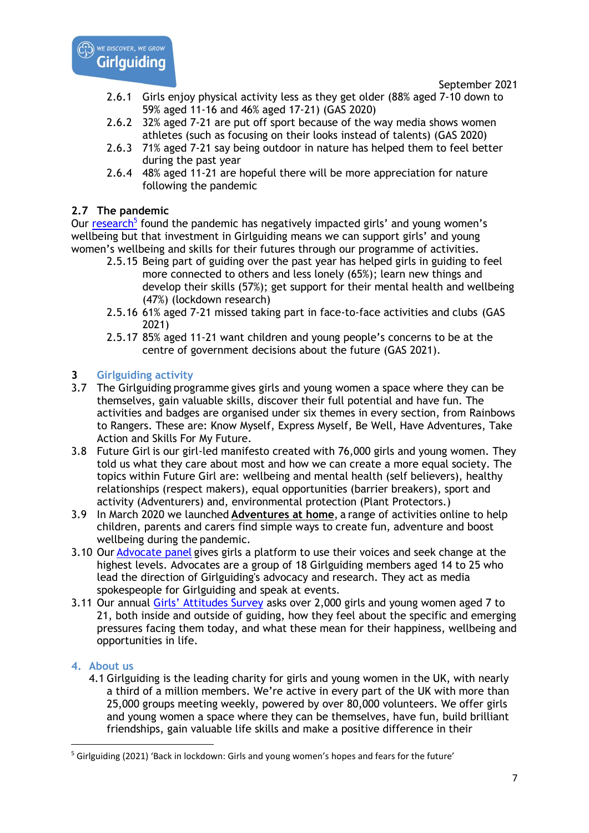

- 2.6.1 Girls enjoy physical activity less as they get older (88% aged 7-10 down to 59% aged 11-16 and 46% aged 17-21) (GAS 2020)
- 2.6.2 32% aged 7-21 are put off sport because of the way media shows women athletes (such as focusing on their looks instead of talents) (GAS 2020)
- 2.6.3 71% aged 7-21 say being outdoor in nature has helped them to feel better during the past year
- 2.6.4 48% aged 11-21 are hopeful there will be more appreciation for nature following the pandemic

## **2.7 The pandemic**

Our research<sup>5</sup> found the pandemic has negatively impacted girls' and young women's wellbeing but that investment in Girlguiding means we can support girls' and young women's wellbeing and skills for their futures through our programme of activities.

- 2.5.15 Being part of guiding over the past year has helped girls in guiding to feel more connected to others and less lonely (65%); learn new things and develop their skills (57%); get support for their mental health and wellbeing (47%) (lockdown research)
- 2.5.16 61% aged 7-21 missed taking part in face-to-face activities and clubs  (GAS 2021)
- 2.5.17 85% aged 11-21 want children and young people's concerns to be at the centre of government decisions about the future (GAS 2021).

## **3 Girlguiding activity**

- 3.7 The Girlguiding [programme](https://www.girlguiding.org.uk/what-we-do/our-badges-and-activities/programme-for-every-girl/) gives girls and young women a space where they can be themselves, gain valuable skills, discover their full potential and have fun. The activities and badges are organised under six themes in every section, from Rainbows to Rangers. These are: Know Myself, Express Myself, Be Well, Have Adventures, Take Action and Skills For My Future.
- 3.8 [Future Girl](https://www.girlguiding.org.uk/girls-making-change/future-girl/) is our girl-led manifesto created with 76,000 girls and young women. They told us what they care about most and how we can create a more equal society. The topics within Future Girl are: wellbeing and mental health (self believers), healthy relationships (respect makers), equal opportunities (barrier breakers), sport and activity (Adventurers) and, environmental protection (Plant Protectors.)
- 3.9 In March 2020 we launched **[Adventures at home](https://www.girlguiding.org.uk/what-we-do/adventures-at-home/)**, a range of activities online to help children, parents and carers find simple ways to create fun, adventure and boost wellbeing during the pandemic.
- 3.10 Our [Advocate panel](https://www.girlguiding.org.uk/girls-making-change/were-speaking-out/advocates/) gives girls a platform to use their voices and seek change at the highest levels. Advocates are a group of 18 Girlguiding members aged 14 to 25 who lead the direction of Girlguiding's advocacy and research. They act as media spokespeople for Girlguiding and speak at events.
- 3.11 Our annual [Girls' Attitudes Survey](https://www.girlguiding.org.uk/girls-making-change/girls-attitudes-survey/) asks over 2,000 girls and young women aged 7 to 21, both inside and outside of guiding, how they feel about the specific and emerging pressures facing them today, and what these mean for their happiness, wellbeing and opportunities in life.

### **4. About us**

4.1 Girlguiding is the leading charity for girls and young women in the UK, with nearly a third of a million members. We're active in every part of the UK with more than 25,000 groups meeting weekly, powered by over 80,000 volunteers. We offer girls and young women a space where they can be themselves, have fun, build brilliant friendships, gain valuable life skills and make a positive difference in their

<sup>5</sup> Girlguiding (2021) 'Back in lockdown: Girls and young women's hopes and fears for the future'